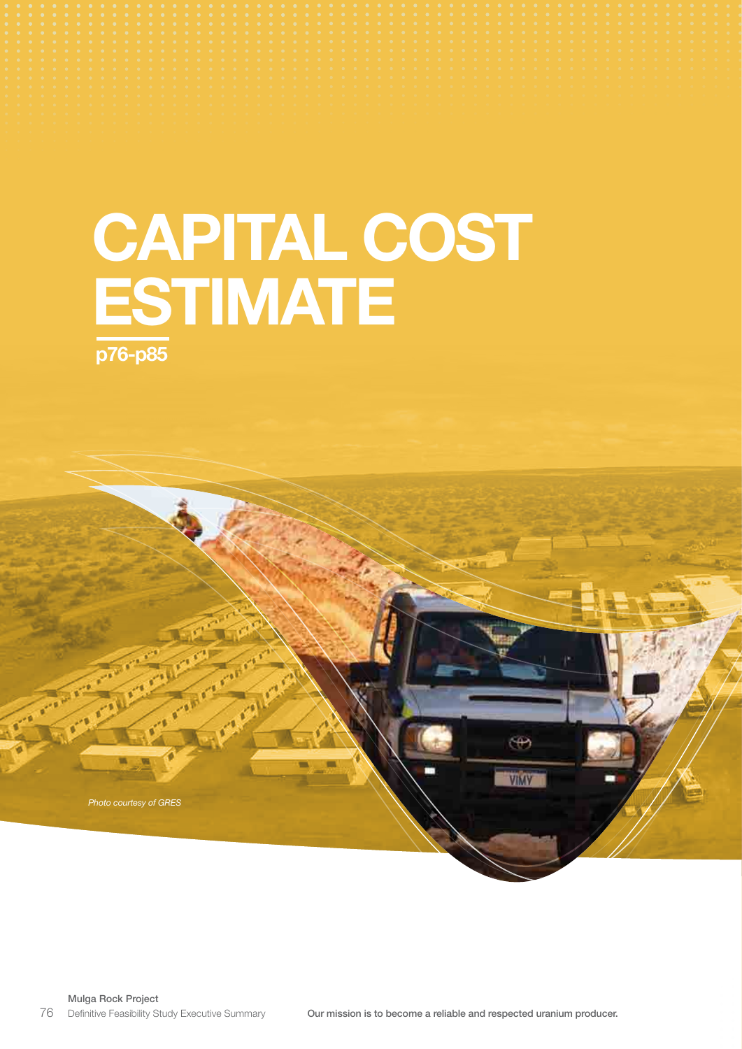# CAPITAL COST **ESTIMATE** p76-p85

Mulga Rock Project Definitive Feasibility Study Executive Summary

*Photo courtesy of GRES*

 $\oplus$ 

VIMY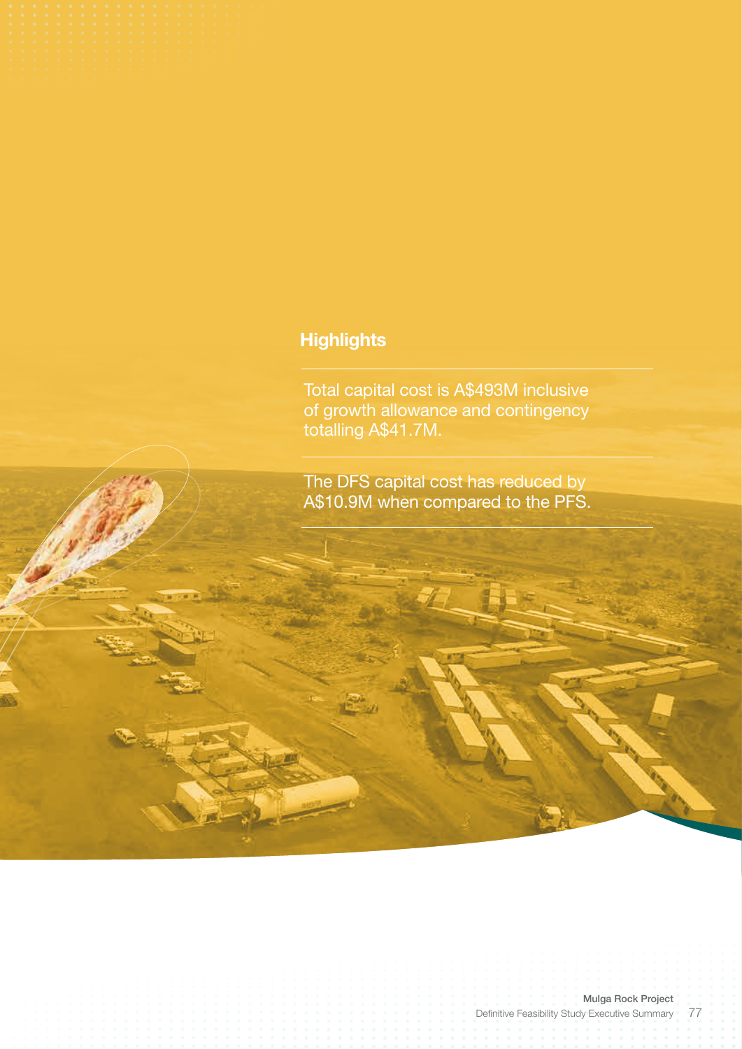# **Highlights**

Total capital cost is A\$493M inclusive of growth allowance and contingency totalling A\$41.7M.

The DFS capital cost has reduced by A\$10.9M when compared to the PFS.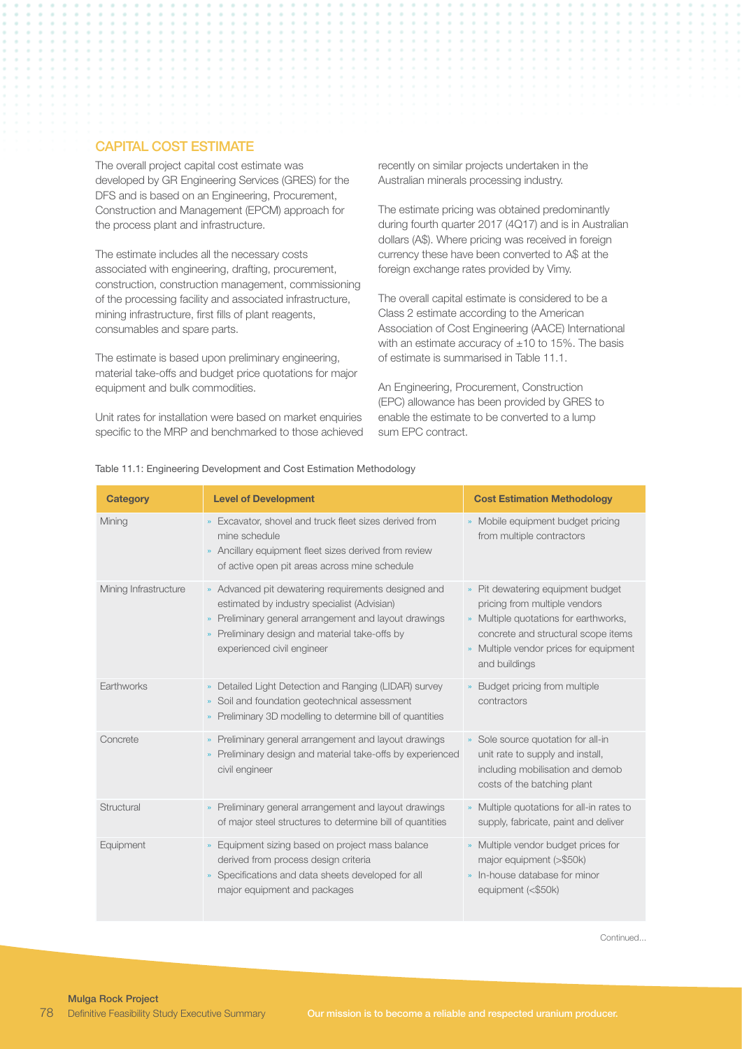# CAPITAL COST ESTIMATE

The overall project capital cost estimate was developed by GR Engineering Services (GRES) for the DFS and is based on an Engineering, Procurement, Construction and Management (EPCM) approach for the process plant and infrastructure.

The estimate includes all the necessary costs associated with engineering, drafting, procurement, construction, construction management, commissioning of the processing facility and associated infrastructure, mining infrastructure, first fills of plant reagents, consumables and spare parts.

The estimate is based upon preliminary engineering, material take-offs and budget price quotations for major equipment and bulk commodities.

Unit rates for installation were based on market enquiries specific to the MRP and benchmarked to those achieved

recently on similar projects undertaken in the Australian minerals processing industry.

The estimate pricing was obtained predominantly during fourth quarter 2017 (4Q17) and is in Australian dollars (A\$). Where pricing was received in foreign currency these have been converted to A\$ at the foreign exchange rates provided by Vimy.

The overall capital estimate is considered to be a Class 2 estimate according to the American Association of Cost Engineering (AACE) International with an estimate accuracy of  $\pm 10$  to 15%. The basis of estimate is summarised in Table 11.1.

An Engineering, Procurement, Construction (EPC) allowance has been provided by GRES to enable the estimate to be converted to a lump sum EPC contract.

#### Table 11.1: Engineering Development and Cost Estimation Methodology

| <b>Category</b>       | <b>Level of Development</b>                                                                                                                                                                                                                               | <b>Cost Estimation Methodology</b>                                                                                                                                                                                                   |
|-----------------------|-----------------------------------------------------------------------------------------------------------------------------------------------------------------------------------------------------------------------------------------------------------|--------------------------------------------------------------------------------------------------------------------------------------------------------------------------------------------------------------------------------------|
| Mining                | » Excavator, shovel and truck fleet sizes derived from<br>mine schedule<br>» Ancillary equipment fleet sizes derived from review<br>of active open pit areas across mine schedule                                                                         | » Mobile equipment budget pricing<br>from multiple contractors                                                                                                                                                                       |
| Mining Infrastructure | » Advanced pit dewatering requirements designed and<br>estimated by industry specialist (Advisian)<br>» Preliminary general arrangement and layout drawings<br>Preliminary design and material take-offs by<br>$\mathbf{m}$<br>experienced civil engineer | Pit dewatering equipment budget<br>$\mathbf{m}^{\prime}$<br>pricing from multiple vendors<br>» Multiple quotations for earthworks,<br>concrete and structural scope items<br>» Multiple vendor prices for equipment<br>and buildings |
| Earthworks            | Detailed Light Detection and Ranging (LIDAR) survey<br>$\mathbf{M}$<br>Soil and foundation geotechnical assessment<br>»<br>» Preliminary 3D modelling to determine bill of quantities                                                                     | » Budget pricing from multiple<br>contractors                                                                                                                                                                                        |
| Concrete              | » Preliminary general arrangement and layout drawings<br>Preliminary design and material take-offs by experienced<br>$\mathbf{m}$<br>civil engineer                                                                                                       | Sole source quotation for all-in<br>$\mathbf{w}$<br>unit rate to supply and install,<br>including mobilisation and demob<br>costs of the batching plant                                                                              |
| Structural            | » Preliminary general arrangement and layout drawings<br>of major steel structures to determine bill of quantities                                                                                                                                        | Multiple quotations for all-in rates to<br>supply, fabricate, paint and deliver                                                                                                                                                      |
| Equipment             | » Equipment sizing based on project mass balance<br>derived from process design criteria<br>Specifications and data sheets developed for all<br>$\mathbf{m}$<br>major equipment and packages                                                              | » Multiple vendor budget prices for<br>major equipment (>\$50k)<br>» In-house database for minor<br>equipment (<\$50k)                                                                                                               |

**Continued...**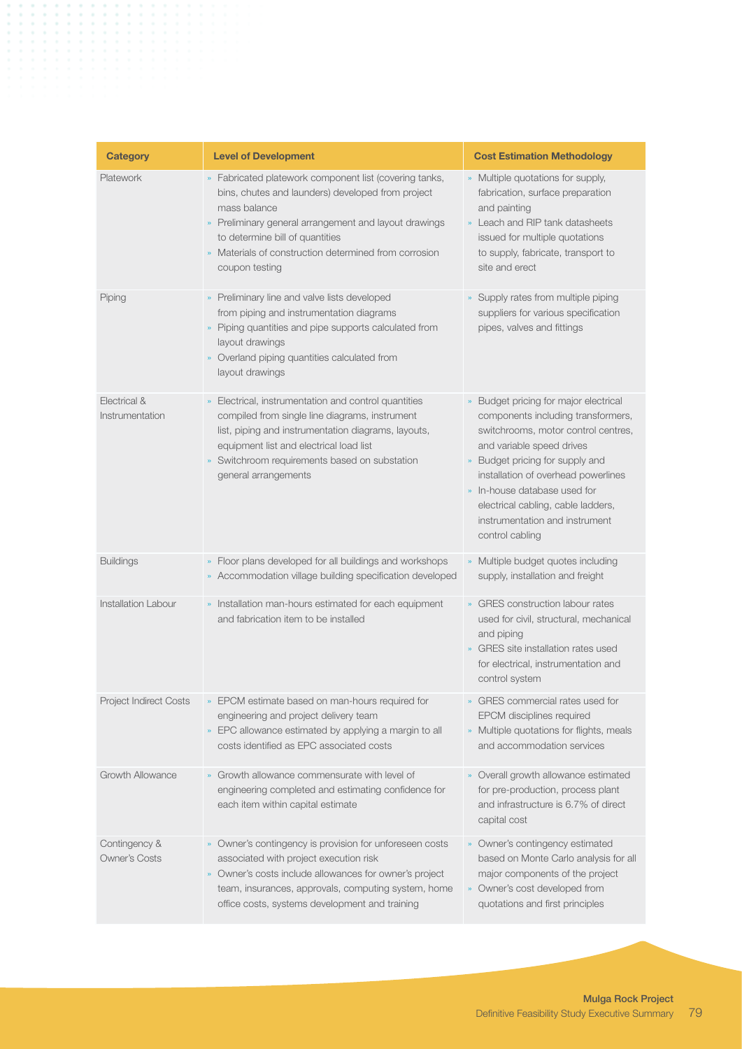| <b>Category</b>                       | <b>Level of Development</b>                                                                                                                                                                                                                                                                        | <b>Cost Estimation Methodology</b>                                                                                                                                                                                                                                                                                                                 |
|---------------------------------------|----------------------------------------------------------------------------------------------------------------------------------------------------------------------------------------------------------------------------------------------------------------------------------------------------|----------------------------------------------------------------------------------------------------------------------------------------------------------------------------------------------------------------------------------------------------------------------------------------------------------------------------------------------------|
| Platework                             | » Fabricated platework component list (covering tanks,<br>bins, chutes and launders) developed from project<br>mass balance<br>» Preliminary general arrangement and layout drawings<br>to determine bill of quantities<br>» Materials of construction determined from corrosion<br>coupon testing | » Multiple quotations for supply,<br>fabrication, surface preparation<br>and painting<br>» Leach and RIP tank datasheets<br>issued for multiple quotations<br>to supply, fabricate, transport to<br>site and erect                                                                                                                                 |
| Piping                                | » Preliminary line and valve lists developed<br>from piping and instrumentation diagrams<br>» Piping quantities and pipe supports calculated from<br>layout drawings<br>» Overland piping quantities calculated from<br>layout drawings                                                            | » Supply rates from multiple piping<br>suppliers for various specification<br>pipes, valves and fittings                                                                                                                                                                                                                                           |
| Electrical &<br>Instrumentation       | Electrical, instrumentation and control quantities<br>compiled from single line diagrams, instrument<br>list, piping and instrumentation diagrams, layouts,<br>equipment list and electrical load list<br>Switchroom requirements based on substation<br>general arrangements                      | Budget pricing for major electrical<br>components including transformers,<br>switchrooms, motor control centres,<br>and variable speed drives<br>» Budget pricing for supply and<br>installation of overhead powerlines<br>» In-house database used for<br>electrical cabling, cable ladders,<br>instrumentation and instrument<br>control cabling |
| <b>Buildings</b>                      | » Floor plans developed for all buildings and workshops<br>» Accommodation village building specification developed                                                                                                                                                                                | » Multiple budget quotes including<br>supply, installation and freight                                                                                                                                                                                                                                                                             |
| <b>Installation Labour</b>            | » Installation man-hours estimated for each equipment<br>and fabrication item to be installed                                                                                                                                                                                                      | » GRES construction labour rates<br>used for civil, structural, mechanical<br>and piping<br>» GRES site installation rates used<br>for electrical, instrumentation and<br>control system                                                                                                                                                           |
| Project Indirect Costs                | » EPCIM estimate based on man-hours required for<br>engineering and project delivery team<br>» EPC allowance estimated by applying a margin to all<br>costs identified as EPC associated costs                                                                                                     | » GRES commercial rates used for<br>EPCM disciplines required<br>» Multiple quotations for flights, meals<br>and accommodation services                                                                                                                                                                                                            |
| Growth Allowance                      | » Growth allowance commensurate with level of<br>engineering completed and estimating confidence for<br>each item within capital estimate                                                                                                                                                          | » Overall growth allowance estimated<br>for pre-production, process plant<br>and infrastructure is 6.7% of direct<br>capital cost                                                                                                                                                                                                                  |
| Contingency &<br><b>Owner's Costs</b> | » Owner's contingency is provision for unforeseen costs<br>associated with project execution risk<br>» Owner's costs include allowances for owner's project<br>team, insurances, approvals, computing system, home<br>office costs, systems development and training                               | » Owner's contingency estimated<br>based on Monte Carlo analysis for all<br>major components of the project<br>» Owner's cost developed from<br>quotations and first principles                                                                                                                                                                    |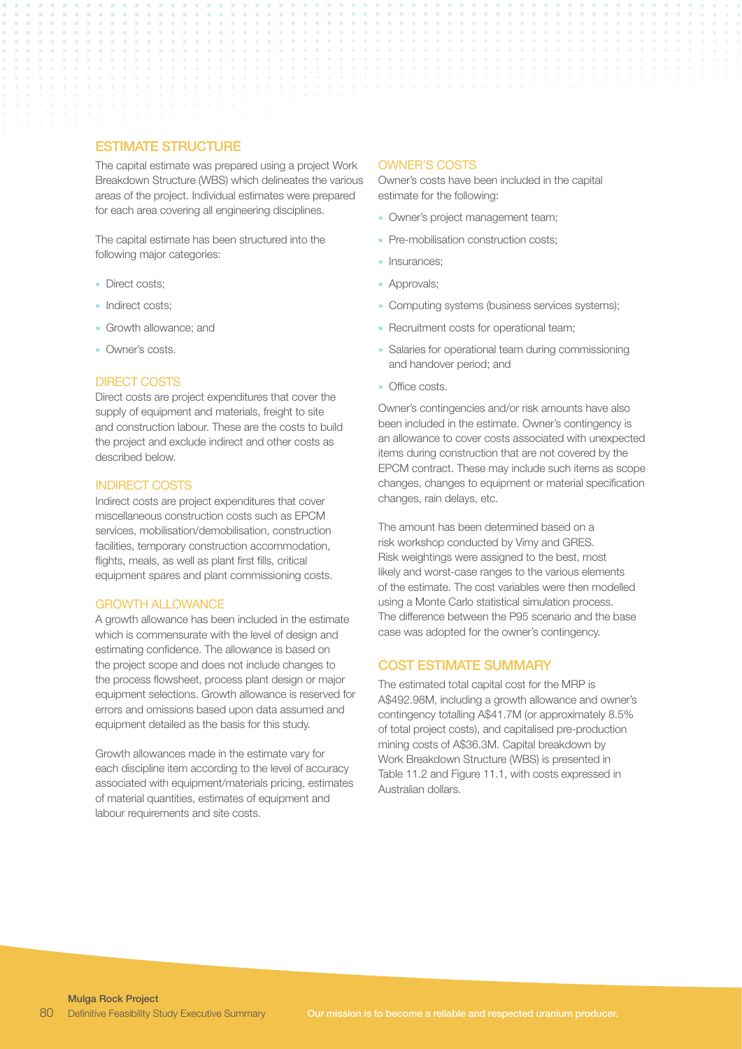# ESTIMATE STRUCTURE

The capital estimate was prepared using a project Work Breakdown Structure (WBS) which delineates the various areas of the project. Individual estimates were prepared for each area covering all engineering disciplines.

The capital estimate has been structured into the following major categories:

- » Direct costs;
- » Indirect costs;
- » Growth allowance; and
- » Owner's costs.

### DIRECT COSTS

Direct costs are project expenditures that cover the supply of equipment and materials, freight to site and construction labour. These are the costs to build the project and exclude indirect and other costs as described below.

#### INDIRECT COSTS

Indirect costs are project expenditures that cover miscellaneous construction costs such as EPCM services, mobilisation/demobilisation, construction facilities, temporary construction accommodation, flights, meals, as well as plant first fills, critical equipment spares and plant commissioning costs.

#### GROWTH ALLOWANCE

A growth allowance has been included in the estimate which is commensurate with the level of design and estimating confidence. The allowance is based on the project scope and does not include changes to the process flowsheet, process plant design or major equipment selections. Growth allowance is reserved for errors and omissions based upon data assumed and equipment detailed as the basis for this study.

Growth allowances made in the estimate vary for each discipline item according to the level of accuracy associated with equipment/materials pricing, estimates of material quantities, estimates of equipment and labour requirements and site costs.

#### OWNER'S COSTS

Owner's costs have been included in the capital estimate for the following:

- » Owner's project management team;
- » Pre-mobilisation construction costs;
- » Insurances;
- » Approvals;
- » Computing systems (business services systems);
- » Recruitment costs for operational team;
- » Salaries for operational team during commissioning and handover period; and
- » Office costs.

Owner's contingencies and/or risk amounts have also been included in the estimate. Owner's contingency is an allowance to cover costs associated with unexpected items during construction that are not covered by the EPCM contract. These may include such items as scope changes, changes to equipment or material specification changes, rain delays, etc.

The amount has been determined based on a risk workshop conducted by Vimy and GRES. Risk weightings were assigned to the best, most likely and worst-case ranges to the various elements of the estimate. The cost variables were then modelled using a Monte Carlo statistical simulation process. The difference between the P95 scenario and the base case was adopted for the owner's contingency.

# COST ESTIMATE SUMMARY

The estimated total capital cost for the MRP is A\$492.98M, including a growth allowance and owner's contingency totalling A\$41.7M (or approximately 8.5% of total project costs), and capitalised pre-production mining costs of A\$36.3M. Capital breakdown by Work Breakdown Structure (WBS) is presented in Table 11.2 and Figure 11.1, with costs expressed in Australian dollars.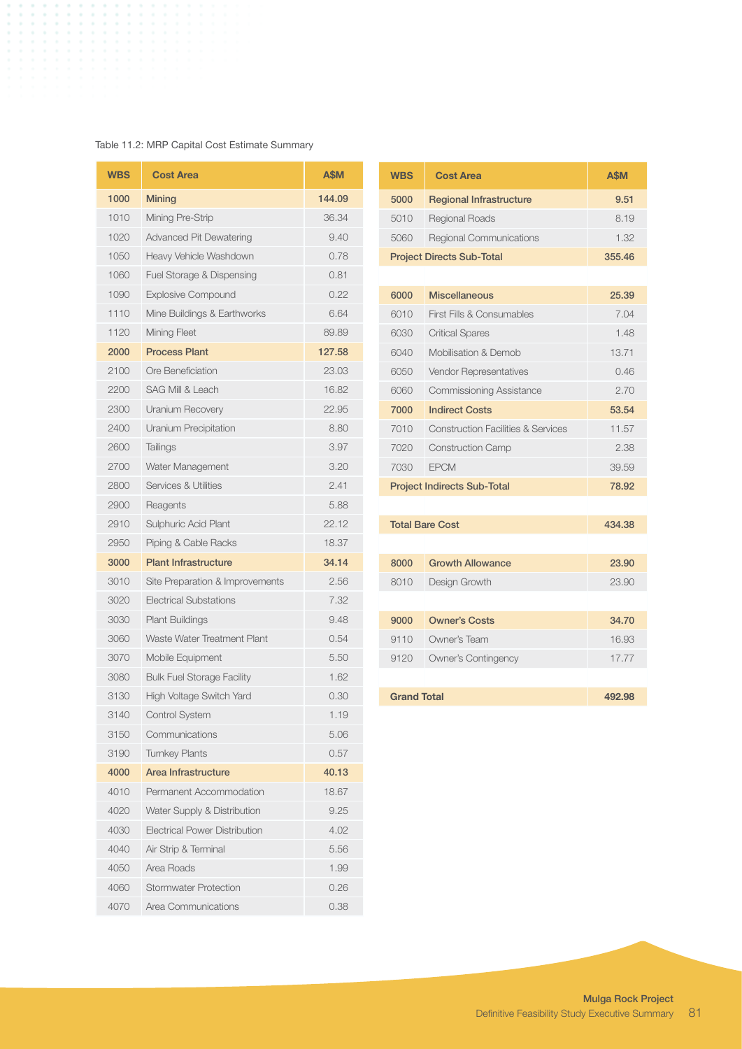# Table 11.2: MRP Capital Cost Estimate Summary

| <b>WBS</b> | <b>Cost Area</b>                     | <b>A\$M</b> |
|------------|--------------------------------------|-------------|
| 1000       | <b>Mining</b>                        | 144.09      |
| 1010       | Mining Pre-Strip                     | 36.34       |
| 1020       | <b>Advanced Pit Dewatering</b>       | 9.40        |
| 1050       | Heavy Vehicle Washdown               | 0.78        |
| 1060       | Fuel Storage & Dispensing            | 0.81        |
| 1090       | <b>Explosive Compound</b>            | 0.22        |
| 1110       | Mine Buildings & Earthworks          | 6.64        |
| 1120       | Mining Fleet                         | 89.89       |
| 2000       | <b>Process Plant</b>                 | 127.58      |
| 2100       | Ore Beneficiation                    | 23.03       |
| 2200       | <b>SAG Mill &amp; Leach</b>          | 16.82       |
| 2300       | Uranium Recovery                     | 22.95       |
| 2400       | Uranium Precipitation                | 8.80        |
| 2600       | <b>Tailings</b>                      | 3.97        |
| 2700       | Water Management                     | 3.20        |
| 2800       | Services & Utilities                 | 2.41        |
| 2900       | Reagents                             | 5.88        |
| 2910       | <b>Sulphuric Acid Plant</b>          | 22.12       |
| 2950       | Piping & Cable Racks                 | 18.37       |
| 3000       | <b>Plant Infrastructure</b>          | 34.14       |
| 3010       | Site Preparation & Improvements      | 2.56        |
| 3020       | <b>Electrical Substations</b>        | 7.32        |
| 3030       | <b>Plant Buildings</b>               | 9.48        |
| 3060       | Waste Water Treatment Plant          | 0.54        |
| 3070       | Mobile Equipment                     | 5.50        |
| 3080       | <b>Bulk Fuel Storage Facility</b>    | 1.62        |
| 3130       | High Voltage Switch Yard             | 0.30        |
| 3140       | <b>Control System</b>                | 1.19        |
| 3150       | Communications                       | 5.06        |
| 3190       | <b>Turnkey Plants</b>                | 0.57        |
| 4000       | Area Infrastructure                  | 40.13       |
| 4010       | Permanent Accommodation              | 18.67       |
| 4020       | Water Supply & Distribution          | 9.25        |
| 4030       | <b>Electrical Power Distribution</b> | 4.02        |
| 4040       | Air Strip & Terminal                 | 5.56        |
| 4050       | Area Roads                           | 1.99        |
| 4060       | <b>Stormwater Protection</b>         | 0.26        |
| 4070       | Area Communications                  | 0.38        |

| <b>WBS</b>                         | <b>Cost Area</b>                              | A\$M   |
|------------------------------------|-----------------------------------------------|--------|
| 5000                               | <b>Regional Infrastructure</b>                | 9.51   |
| 5010                               | <b>Regional Roads</b>                         | 8.19   |
| 5060                               | <b>Regional Communications</b>                | 1.32   |
| <b>Project Directs Sub-Total</b>   |                                               | 355.46 |
|                                    |                                               |        |
| 6000                               | <b>Miscellaneous</b>                          | 25.39  |
| 6010                               | First Fills & Consumables                     | 7.04   |
| 6030                               | <b>Critical Spares</b>                        | 1.48   |
| 6040                               | Mobilisation & Demob                          | 13.71  |
| 6050                               | <b>Vendor Representatives</b>                 | 0.46   |
| 6060                               | <b>Commissioning Assistance</b>               | 2.70   |
| 7000                               | <b>Indirect Costs</b>                         | 53.54  |
| 7010                               | <b>Construction Facilities &amp; Services</b> | 11.57  |
| 7020                               | <b>Construction Camp</b>                      | 2.38   |
| 7030                               | <b>FPCM</b>                                   | 39.59  |
| <b>Project Indirects Sub-Total</b> |                                               | 78.92  |
|                                    |                                               |        |
| <b>Total Bare Cost</b>             |                                               | 434.38 |
|                                    |                                               |        |

| 8000               | <b>Growth Allowance</b> | 23.90  |
|--------------------|-------------------------|--------|
| 8010               | Design Growth           | 23.90  |
|                    |                         |        |
| 9000               | <b>Owner's Costs</b>    | 34.70  |
| 9110               | Owner's Team            | 16.93  |
| 9120               | Owner's Contingency     | 17.77  |
|                    |                         |        |
| <b>Grand Total</b> |                         | 492.98 |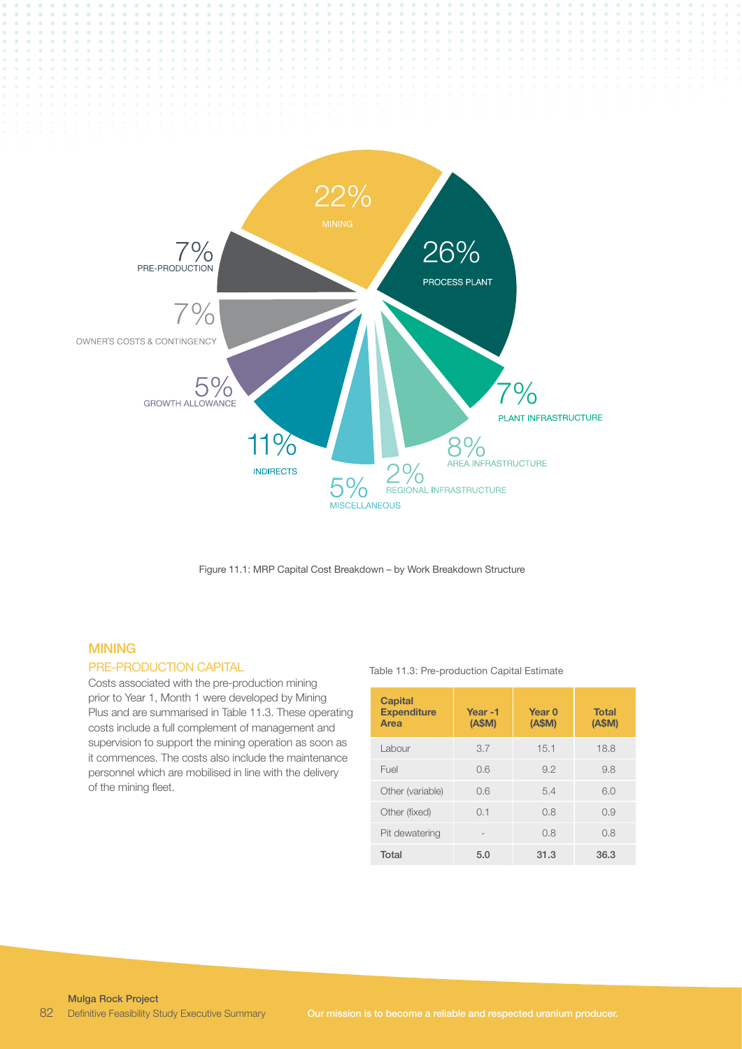

Figure 11.1: MRP Capital Cost Breakdown – by Work Breakdown Structure

# **MINING**

# PRE-PRODUCTION CAPITAL

Costs associated with the pre-production mining prior to Year 1, Month 1 were developed by Mining Plus and are summarised in Table 11.3. These operating costs include a full complement of management and supervision to support the mining operation as soon as it commences. The costs also include the maintenance personnel which are mobilised in line with the delivery of the mining fleet.

#### Table 11.3: Pre-production Capital Estimate

| <b>Capital</b><br><b>Expenditure</b><br>Area | Year-1<br>(A\$M) | Year <sub>0</sub><br>(A\$M) | <b>Total</b><br>(A\$M) |
|----------------------------------------------|------------------|-----------------------------|------------------------|
| Labour                                       | 3.7              | 15.1                        | 18.8                   |
| Fuel                                         | 0.6              | 9.2                         | 9.8                    |
| Other (variable)                             | 0.6              | 5.4                         | 6.0                    |
| Other (fixed)                                | 0.1              | 0.8                         | 0.9                    |
| Pit dewatering                               |                  | 0.8                         | 0.8                    |
| Total                                        | 5.0              | 31.3                        | 36.3                   |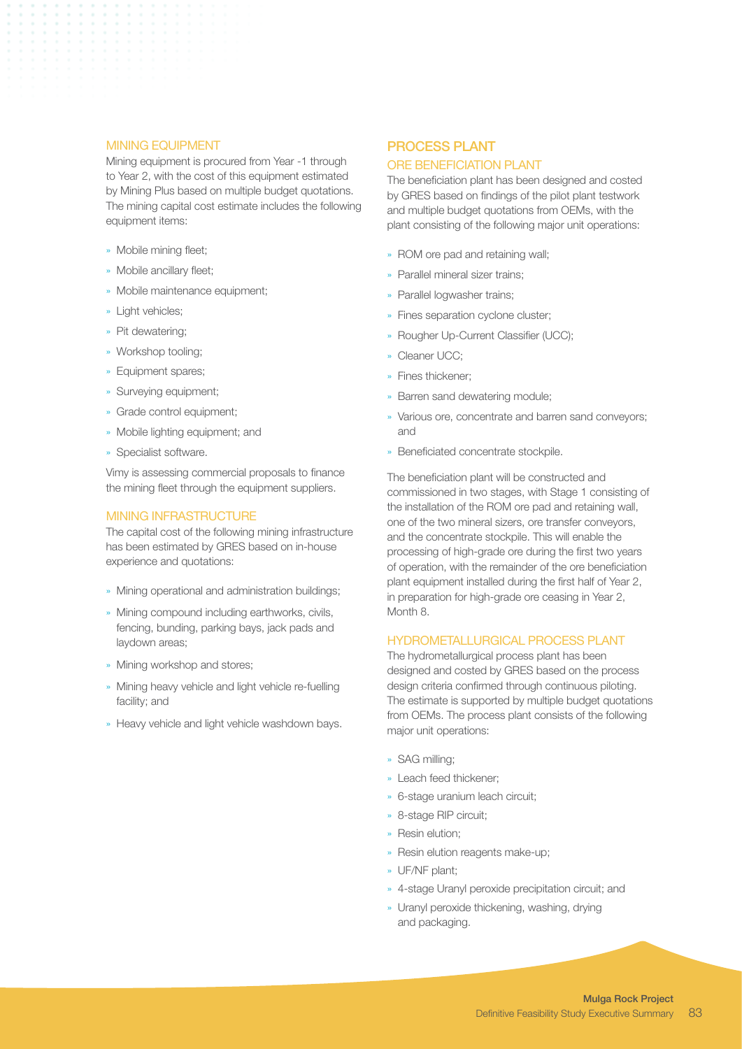#### MINING EQUIPMENT

Mining equipment is procured from Year -1 through to Year 2, with the cost of this equipment estimated by Mining Plus based on multiple budget quotations. The mining capital cost estimate includes the following equipment items:

- » Mobile mining fleet;
- » Mobile ancillary fleet;
- » Mobile maintenance equipment;
- » Light vehicles;
- » Pit dewatering;
- » Workshop tooling;
- » Equipment spares;
- » Surveying equipment;
- » Grade control equipment;
- » Mobile lighting equipment; and
- » Specialist software.

Vimy is assessing commercial proposals to finance the mining fleet through the equipment suppliers.

# MINING INFRASTRUCTURE

The capital cost of the following mining infrastructure has been estimated by GRES based on in-house experience and quotations:

- » Mining operational and administration buildings;
- » Mining compound including earthworks, civils, fencing, bunding, parking bays, jack pads and laydown areas;
- » Mining workshop and stores;
- » Mining heavy vehicle and light vehicle re-fuelling facility; and
- » Heavy vehicle and light vehicle washdown bays.

# PROCESS PLANT

## ORE BENEFICIATION PLANT

The beneficiation plant has been designed and costed by GRES based on findings of the pilot plant testwork and multiple budget quotations from OEMs, with the plant consisting of the following major unit operations:

- » ROM ore pad and retaining wall;
- » Parallel mineral sizer trains;
- » Parallel logwasher trains;
- » Fines separation cyclone cluster;
- » Rougher Up-Current Classifier (UCC);
- » Cleaner UCC;
- » Fines thickener;
- » Barren sand dewatering module;
- » Various ore, concentrate and barren sand conveyors; and
- » Beneficiated concentrate stockpile.

The beneficiation plant will be constructed and commissioned in two stages, with Stage 1 consisting of the installation of the ROM ore pad and retaining wall, one of the two mineral sizers, ore transfer conveyors, and the concentrate stockpile. This will enable the processing of high-grade ore during the first two years of operation, with the remainder of the ore beneficiation plant equipment installed during the first half of Year 2, in preparation for high-grade ore ceasing in Year 2, Month 8.

#### HYDROMETALLURGICAL PROCESS PLANT

The hydrometallurgical process plant has been designed and costed by GRES based on the process design criteria confirmed through continuous piloting. The estimate is supported by multiple budget quotations from OEMs. The process plant consists of the following major unit operations:

- » SAG milling;
- » Leach feed thickener;
- » 6-stage uranium leach circuit;
- » 8-stage RIP circuit;
- » Resin elution;
- » Resin elution reagents make-up;
- » UF/NF plant;
- » 4-stage Uranyl peroxide precipitation circuit; and
- » Uranyl peroxide thickening, washing, drying and packaging.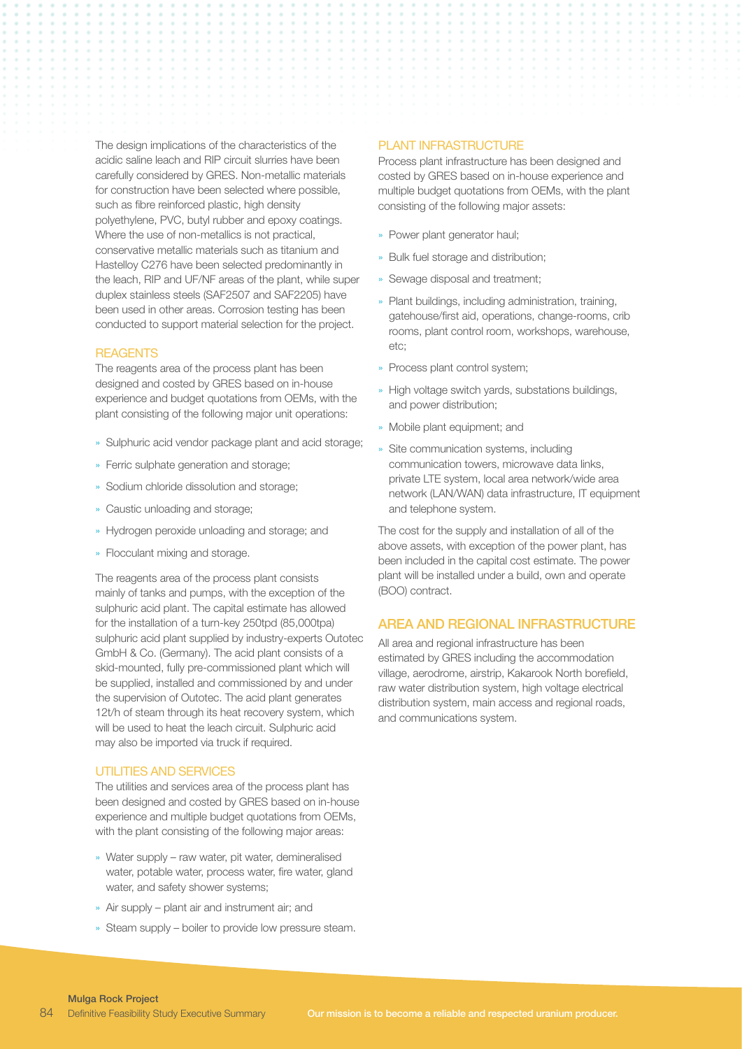The design implications of the characteristics of the acidic saline leach and RIP circuit slurries have been carefully considered by GRES. Non-metallic materials for construction have been selected where possible, such as fibre reinforced plastic, high density polyethylene, PVC, butyl rubber and epoxy coatings. Where the use of non-metallics is not practical, conservative metallic materials such as titanium and Hastelloy C276 have been selected predominantly in the leach, RIP and UF/NF areas of the plant, while super duplex stainless steels (SAF2507 and SAF2205) have been used in other areas. Corrosion testing has been conducted to support material selection for the project.

#### **REAGENTS**

The reagents area of the process plant has been designed and costed by GRES based on in-house experience and budget quotations from OEMs, with the plant consisting of the following major unit operations:

- » Sulphuric acid vendor package plant and acid storage;
- » Ferric sulphate generation and storage;
- » Sodium chloride dissolution and storage;
- » Caustic unloading and storage;
- » Hydrogen peroxide unloading and storage; and
- » Flocculant mixing and storage.

The reagents area of the process plant consists mainly of tanks and pumps, with the exception of the sulphuric acid plant. The capital estimate has allowed for the installation of a turn-key 250tpd (85,000tpa) sulphuric acid plant supplied by industry-experts Outotec GmbH & Co. (Germany). The acid plant consists of a skid-mounted, fully pre-commissioned plant which will be supplied, installed and commissioned by and under the supervision of Outotec. The acid plant generates 12t/h of steam through its heat recovery system, which will be used to heat the leach circuit. Sulphuric acid may also be imported via truck if required.

#### UTILITIES AND SERVICES

The utilities and services area of the process plant has been designed and costed by GRES based on in-house experience and multiple budget quotations from OEMs, with the plant consisting of the following major areas:

- » Water supply raw water, pit water, demineralised water, potable water, process water, fire water, gland water, and safety shower systems;
- » Air supply plant air and instrument air; and
- » Steam supply boiler to provide low pressure steam.

#### PLANT INFRASTRUCTURE

Process plant infrastructure has been designed and costed by GRES based on in-house experience and multiple budget quotations from OEMs, with the plant consisting of the following major assets:

- » Power plant generator haul;
- » Bulk fuel storage and distribution;
- » Sewage disposal and treatment;
- » Plant buildings, including administration, training, gatehouse/first aid, operations, change-rooms, crib rooms, plant control room, workshops, warehouse, etc;
- » Process plant control system;
- » High voltage switch yards, substations buildings, and power distribution;
- » Mobile plant equipment; and
- » Site communication systems, including communication towers, microwave data links, private LTE system, local area network/wide area network (LAN/WAN) data infrastructure, IT equipment and telephone system.

The cost for the supply and installation of all of the above assets, with exception of the power plant, has been included in the capital cost estimate. The power plant will be installed under a build, own and operate (BOO) contract.

## AREA AND REGIONAL INFRASTRUCTURE

All area and regional infrastructure has been estimated by GRES including the accommodation village, aerodrome, airstrip, Kakarook North borefield, raw water distribution system, high voltage electrical distribution system, main access and regional roads, and communications system.